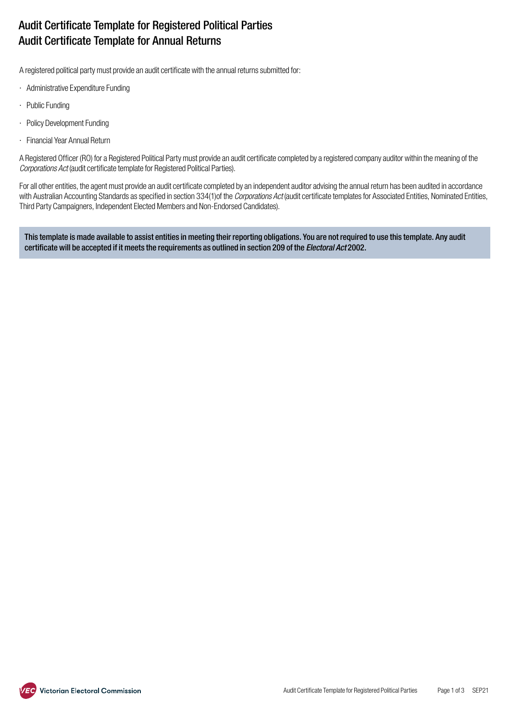# Audit Certificate Template for Registered Political Parties Audit Certificate Template for Annual Returns

A registered political party must provide an audit certificate with the annual returns submitted for:

- · Administrative Expenditure Funding
- · Public Funding
- · Policy Development Funding
- · Financial Year Annual Return

A Registered Officer (RO) for a Registered Political Party must provide an audit certificate completed by a registered company auditor within the meaning of the *Corporations Act* (audit certificate template for Registered Political Parties).

For all other entities, the agent must provide an audit certificate completed by an independent auditor advising the annual return has been audited in accordance with Australian Accounting Standards as specified in section 334(1)of the *Corporations Act* (audit certificate templates for Associated Entities, Nominated Entities, Third Party Campaigners, Independent Elected Members and Non-Endorsed Candidates).

This template is made available to assist entities in meeting their reporting obligations. You are not required to use this template. Any audit certificate will be accepted if it meets the requirements as outlined in section 209 of the *Electoral Act* 2002.

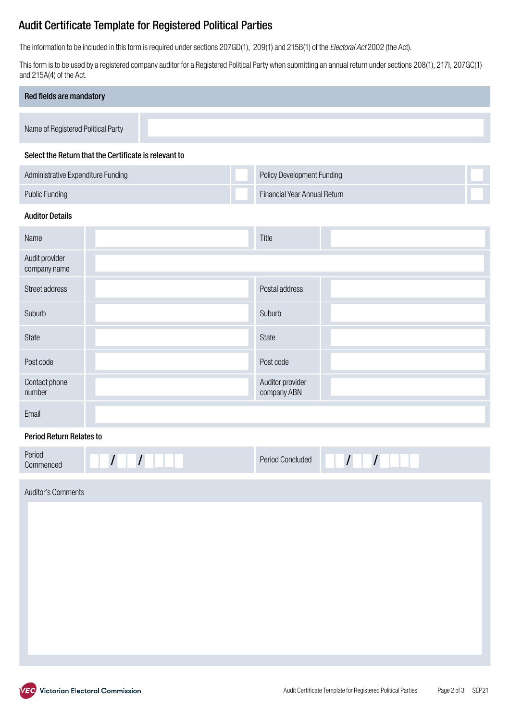## Audit Certificate Template for Registered Political Parties

The information to be included in this form is required under sections 207GD(1), 209(1) and 215B(1) of the *Electoral Act* 2002 (the Act).

This form is to be used by a registered company auditor for a Registered Political Party when submitting an annual return under sections 208(1), 217I, 207GC(1) and 215A(4) of the Act.

| Red fields are mandatory           |  |  |
|------------------------------------|--|--|
|                                    |  |  |
| Name of Registered Political Party |  |  |
|                                    |  |  |

#### Select the Return that the Certificate is relevant to

| Administrative Expenditure Funding | <b>Policy Development Funding</b>   |  |
|------------------------------------|-------------------------------------|--|
| Public Funding                     | <b>Financial Year Annual Return</b> |  |

### Auditor Details

| Name                           | Title                           |  |
|--------------------------------|---------------------------------|--|
| Audit provider<br>company name |                                 |  |
| Street address                 | Postal address                  |  |
| Suburb                         | Suburb                          |  |
| State                          | State                           |  |
| Post code                      | Post code                       |  |
| Contact phone<br>number        | Auditor provider<br>company ABN |  |
| Email                          |                                 |  |

## Period Return Relates to

| Period<br>Commenced | <b>Period Concluded</b> |  |
|---------------------|-------------------------|--|
|                     |                         |  |

Auditor's Comments